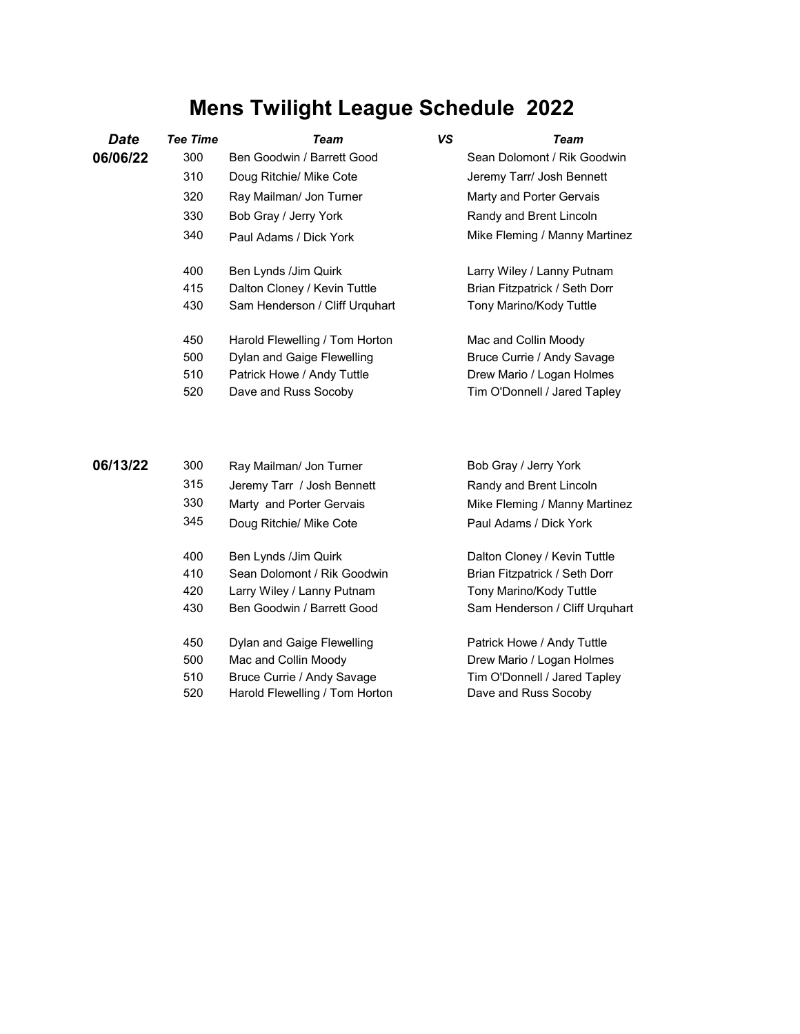## **Mens Twilight League Schedule 2022**

| Date     | Tee Time | Team                           | VS | Team                                |
|----------|----------|--------------------------------|----|-------------------------------------|
| 06/06/22 | 300      | Ben Goodwin / Barrett Good     |    | Sean Dolomont / Rik Goodwin         |
|          | 310      | Doug Ritchie/ Mike Cote        |    | Jeremy Tarr/ Josh Bennett           |
|          | 320      | Ray Mailman/ Jon Turner        |    | Marty and Porter Gervais            |
|          | 330      | Bob Gray / Jerry York          |    | Randy and Brent Lincoln             |
|          | 340      | Paul Adams / Dick York         |    | Mike Fleming / Manny Martinez       |
|          | 400      | Ben Lynds / Jim Quirk          |    | Larry Wiley / Lanny Putnam          |
|          | 415      | Dalton Cloney / Kevin Tuttle   |    | Brian Fitzpatrick / Seth Dorr       |
|          | 430      | Sam Henderson / Cliff Urquhart |    | Tony Marino/Kody Tuttle             |
|          | 450      | Harold Flewelling / Tom Horton |    | Mac and Collin Moody                |
|          | 500      | Dylan and Gaige Flewelling     |    | Bruce Currie / Andy Savage          |
|          | 510      | Patrick Howe / Andy Tuttle     |    | Drew Mario / Logan Holmes           |
|          | 520      | Dave and Russ Socoby           |    | Tim O'Donnell / Jared Tapley        |
|          |          |                                |    |                                     |
| 80148188 | nnn.     | .                              |    | <b>D</b> - L Q - - / I - - V - - 1. |

| 06/13/22 | 300 | Ray Mailman/ Jon Turner        | Bob Gray / Jerry York          |
|----------|-----|--------------------------------|--------------------------------|
|          | 315 | Jeremy Tarr / Josh Bennett     | Randy and Brent Lincoln        |
|          | 330 | Marty and Porter Gervais       | Mike Fleming / Manny Martinez  |
|          | 345 | Doug Ritchie/ Mike Cote        | Paul Adams / Dick York         |
|          | 400 | Ben Lynds / Jim Quirk          | Dalton Cloney / Kevin Tuttle   |
|          | 410 | Sean Dolomont / Rik Goodwin    | Brian Fitzpatrick / Seth Dorr  |
|          | 420 | Larry Wiley / Lanny Putnam     | Tony Marino/Kody Tuttle        |
|          | 430 | Ben Goodwin / Barrett Good     | Sam Henderson / Cliff Urguhart |
|          | 450 | Dylan and Gaige Flewelling     | Patrick Howe / Andy Tuttle     |
|          | 500 | Mac and Collin Moody           | Drew Mario / Logan Holmes      |
|          | 510 | Bruce Currie / Andy Savage     | Tim O'Donnell / Jared Tapley   |
|          | 520 | Harold Flewelling / Tom Horton | Dave and Russ Socoby           |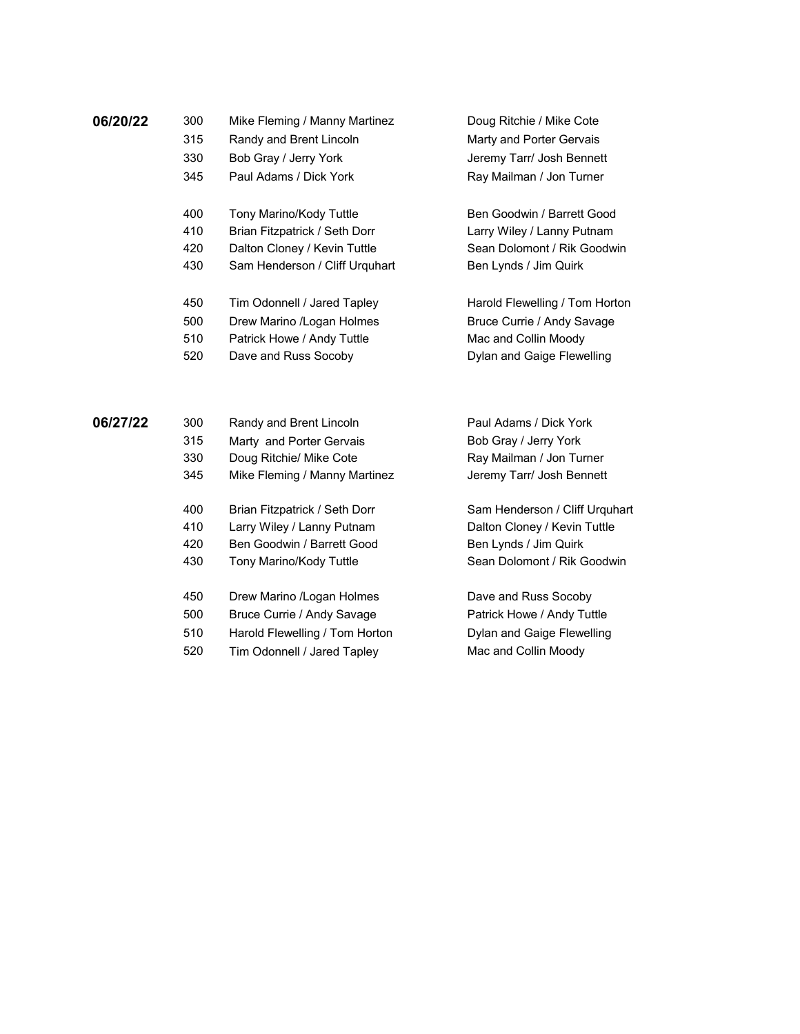| 06/20/22 | 300 | Mike Fleming / Manny Martinez  | Doug Ritchie / Mike Cote       |
|----------|-----|--------------------------------|--------------------------------|
|          | 315 | Randy and Brent Lincoln        | Marty and Porter Gervais       |
|          | 330 | Bob Gray / Jerry York          | Jeremy Tarr/ Josh Bennett      |
|          | 345 | Paul Adams / Dick York         | Ray Mailman / Jon Turner       |
|          | 400 | Tony Marino/Kody Tuttle        | Ben Goodwin / Barrett Good     |
|          | 410 | Brian Fitzpatrick / Seth Dorr  | Larry Wiley / Lanny Putnam     |
|          | 420 | Dalton Cloney / Kevin Tuttle   | Sean Dolomont / Rik Goodwin    |
|          | 430 | Sam Henderson / Cliff Urquhart | Ben Lynds / Jim Quirk          |
|          | 450 | Tim Odonnell / Jared Tapley    | Harold Flewelling / Tom Horton |
|          | 500 | Drew Marino / Logan Holmes     | Bruce Currie / Andy Savage     |
|          | 510 | Patrick Howe / Andy Tuttle     | Mac and Collin Moody           |
|          | 520 | Dave and Russ Socoby           | Dylan and Gaige Flewelling     |
| 06/27/22 | 300 | Randy and Brent Lincoln        | Paul Adams / Dick York         |
|          | 315 |                                |                                |
|          |     | Marty and Porter Gervais       | Bob Gray / Jerry York          |
|          | 330 | Doug Ritchie/ Mike Cote        | Ray Mailman / Jon Turner       |
|          | 345 | Mike Fleming / Manny Martinez  | Jeremy Tarr/ Josh Bennett      |
|          | 400 | Brian Fitzpatrick / Seth Dorr  | Sam Henderson / Cliff Urquhart |
|          | 410 | Larry Wiley / Lanny Putnam     | Dalton Cloney / Kevin Tuttle   |
|          | 420 | Ben Goodwin / Barrett Good     | Ben Lynds / Jim Quirk          |
|          | 430 | Tony Marino/Kody Tuttle        | Sean Dolomont / Rik Goodwin    |
|          |     |                                |                                |

450 Drew Marino /Logan Holmes **Dave and Russ Socoby** 500 Bruce Currie / Andy Savage Patrick Howe / Andy Tuttle 510 Harold Flewelling / Tom Horton Dylan and Gaige Flewelling 520 Tim Odonnell / Jared Tapley Mac and Collin Moody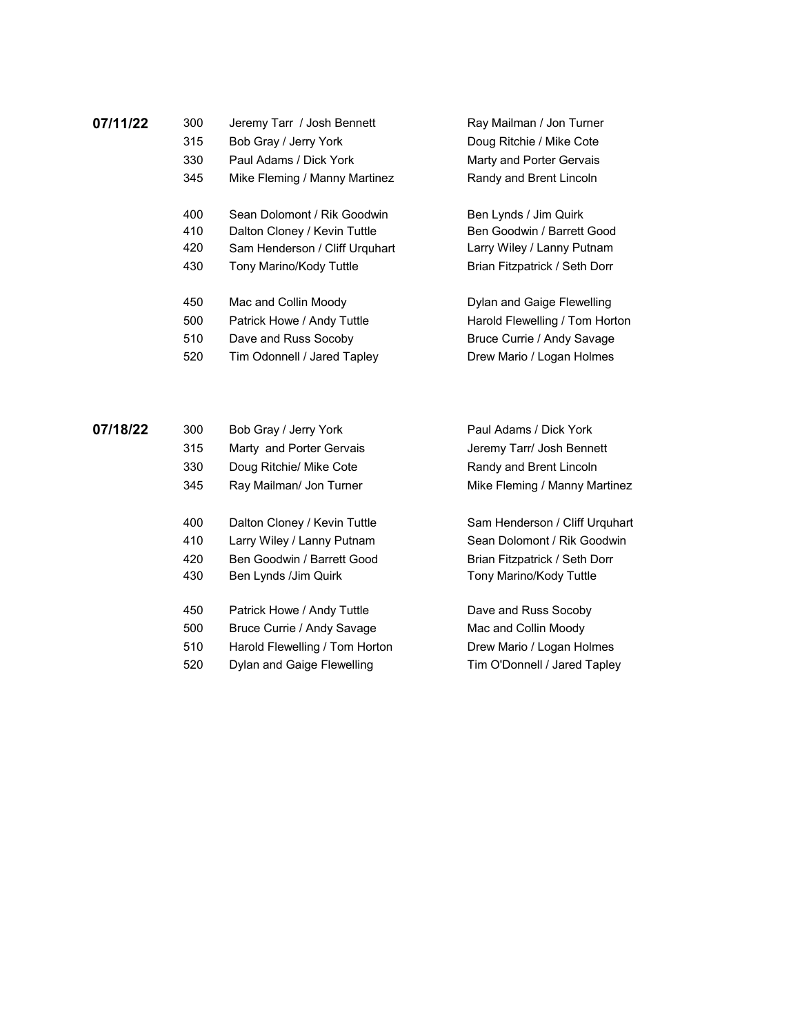| 07/11/22 | 300 | Jeremy Tarr / Josh Bennett     | Ray Mailman / Jon Turner       |
|----------|-----|--------------------------------|--------------------------------|
|          | 315 | Bob Gray / Jerry York          | Doug Ritchie / Mike Cote       |
|          | 330 | Paul Adams / Dick York         | Marty and Porter Gervais       |
|          | 345 | Mike Fleming / Manny Martinez  | Randy and Brent Lincoln        |
|          | 400 | Sean Dolomont / Rik Goodwin    | Ben Lynds / Jim Quirk          |
|          | 410 | Dalton Cloney / Kevin Tuttle   | Ben Goodwin / Barrett Good     |
|          | 420 | Sam Henderson / Cliff Urguhart | Larry Wiley / Lanny Putnam     |
|          | 430 | Tony Marino/Kody Tuttle        | Brian Fitzpatrick / Seth Dorr  |
|          | 450 | Mac and Collin Moody           | Dylan and Gaige Flewelling     |
|          | 500 | Patrick Howe / Andy Tuttle     | Harold Flewelling / Tom Horton |

510 Dave and Russ Socoby Bruce Currie / Andy Savage

520 Tim Odonnell / Jared Tapley **Disk Charlot Drew Mario / Logan Holmes** 

**07/18/22** 300 Bob Gray / Jerry York Paul Adams / Dick York 315 Marty and Porter Gervais **Started Started Start** Jeremy Tarr/ Josh Bennett 330 Doug Ritchie/ Mike Cote **Randy and Brent Lincoln** 345 Ray Mailman/ Jon Turner Mike Fleming / Manny Martinez 400 Dalton Cloney / Kevin Tuttle Sam Henderson / Cliff Urquhart 410 Larry Wiley / Lanny Putnam Sean Dolomont / Rik Goodwin 420 Ben Goodwin / Barrett Good Brian Fitzpatrick / Seth Dorr

430 Ben Lynds / Jim Quirk Tony Marino/Kody Tuttle 450 Patrick Howe / Andy Tuttle **Dave and Russ Socoby** 500 Bruce Currie / Andy Savage Mac and Collin Moody 510 Harold Flewelling / Tom Horton Drew Mario / Logan Holmes 520 Dylan and Gaige Flewelling Tim O'Donnell / Jared Tapley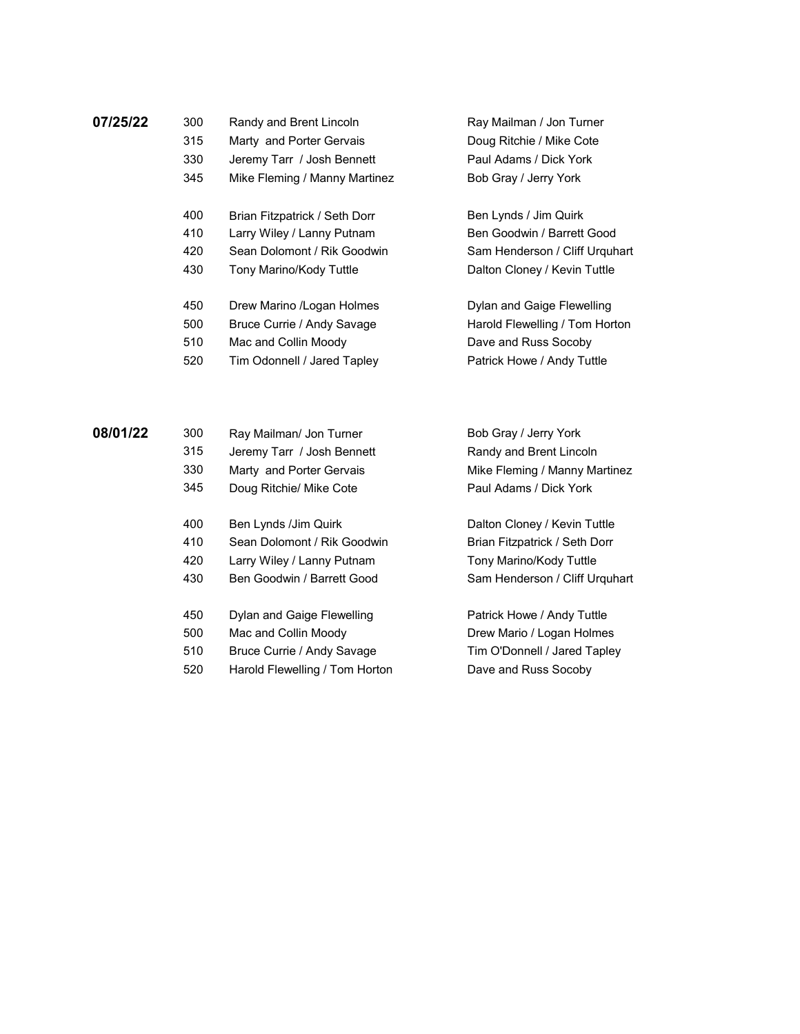| ັບບບ | <b>INGHAY GIN DIVIR LINVOIL</b> |  |
|------|---------------------------------|--|
|      |                                 |  |

- 
- 
- 345 Mike Fleming / Manny Martinez Bob Gray / Jerry York
- 400 Brian Fitzpatrick / Seth Dorr Ben Lynds / Jim Quirk
- 410 Larry Wiley / Lanny Putnam Ben Goodwin / Barrett Good
- 420 Sean Dolomont / Rik Goodwin Sam Henderson / Cliff Urquhart
- 430 Tony Marino/Kody Tuttle **Dalton Cloney / Kevin Tuttle**
- 450 Drew Marino /Logan Holmes Dylan and Gaige Flewelling
- 500 Bruce Currie / Andy Savage Harold Flewelling / Tom Horton
- 510 Mac and Collin Moody **Dave and Russ Socoby**
- 520 Tim Odonnell / Jared Tapley Patrick Howe / Andy Tuttle

**07/25/22** 300 Randy and Brent Lincoln Ray Mailman / Jon Turner 315 Marty and Porter Gervais **Doug Ritchie / Mike Cote** 330 Jeremy Tarr / Josh Bennett Paul Adams / Dick York

| 08/01/22 | 300 | Ray Mailman/ Jon Turner        | Bob Gray / Jerry York          |
|----------|-----|--------------------------------|--------------------------------|
|          | 315 | Jeremy Tarr / Josh Bennett     | Randy and Brent Lincoln        |
|          | 330 | Marty and Porter Gervais       | Mike Fleming / Manny Martinez  |
|          | 345 | Doug Ritchie/ Mike Cote        | Paul Adams / Dick York         |
|          | 400 | Ben Lynds /Jim Quirk           | Dalton Cloney / Kevin Tuttle   |
|          | 410 | Sean Dolomont / Rik Goodwin    | Brian Fitzpatrick / Seth Dorr  |
|          | 420 | Larry Wiley / Lanny Putnam     | Tony Marino/Kody Tuttle        |
|          | 430 | Ben Goodwin / Barrett Good     | Sam Henderson / Cliff Urguhart |
|          | 450 | Dylan and Gaige Flewelling     | Patrick Howe / Andy Tuttle     |
|          | 500 | Mac and Collin Moody           | Drew Mario / Logan Holmes      |
|          | 510 | Bruce Currie / Andy Savage     | Tim O'Donnell / Jared Tapley   |
|          | 520 | Harold Flewelling / Tom Horton | Dave and Russ Socoby           |